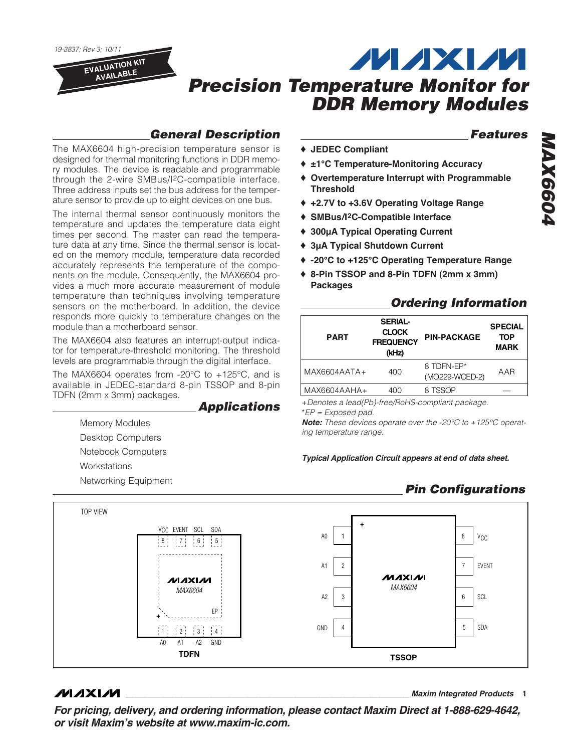19-3837; Rev 3; 10/11

**EVALUATION KIT AVAILABLE**

## **THAXIM Precision Temperature Monitor for DDR Memory Modules**

### **General Description**

The MAX6604 high-precision temperature sensor is designed for thermal monitoring functions in DDR memory modules. The device is readable and programmable through the 2-wire SMBus/I2C-compatible interface. Three address inputs set the bus address for the temperature sensor to provide up to eight devices on one bus.

The internal thermal sensor continuously monitors the temperature and updates the temperature data eight times per second. The master can read the temperature data at any time. Since the thermal sensor is located on the memory module, temperature data recorded accurately represents the temperature of the components on the module. Consequently, the MAX6604 provides a much more accurate measurement of module temperature than techniques involving temperature sensors on the motherboard. In addition, the device responds more quickly to temperature changes on the module than a motherboard sensor.

The MAX6604 also features an interrupt-output indicator for temperature-threshold monitoring. The threshold levels are programmable through the digital interface.

The MAX6604 operates from -20°C to +125°C, and is available in JEDEC-standard 8-pin TSSOP and 8-pin TDFN (2mm x 3mm) packages.

**Applications**

Memory Modules Desktop Computers Notebook Computers **Workstations** 

Networking Equipment

### **Features**

- ♦ **JEDEC Compliant**
- ♦ **±1°C Temperature-Monitoring Accuracy**
- ♦ **Overtemperature Interrupt with Programmable Threshold**
- ♦ **+2.7V to +3.6V Operating Voltage Range**
- ♦ **SMBus/I2C-Compatible Interface**
- ♦ **300µA Typical Operating Current**
- ♦ **3µA Typical Shutdown Current**
- ♦ **-20°C to +125°C Operating Temperature Range**
- ♦ **8-Pin TSSOP and 8-Pin TDFN (2mm x 3mm) Packages**

#### **Ordering Information**

| <b>PART</b>    | <b>SERIAL-</b><br><b>CLOCK</b><br><b>FREQUENCY</b><br>(kHz) | <b>PIN-PACKAGE</b>           | <b>SPECIAL</b><br><b>TOP</b><br><b>MARK</b> |  |
|----------------|-------------------------------------------------------------|------------------------------|---------------------------------------------|--|
| $MAX6604AATA+$ | 400                                                         | 8 TDFN-FP*<br>(MO229-WCED-2) | AAR                                         |  |
| $MAX6604AAHA+$ | 400                                                         | 8 TSSOP                      |                                             |  |

+Denotes a lead(Pb)-free/RoHS-compliant package.

\*EP = Exposed pad.

**Note:** These devices operate over the -20°C to +125°C operating temperature range.

**Typical Application Circuit appears at end of data sheet.**

### **Pin Configurations**



### **MAXIM**

**\_\_\_\_\_\_\_\_\_\_\_\_\_\_\_\_\_\_\_\_\_\_\_\_\_\_\_\_\_\_\_\_\_\_\_\_\_\_\_\_\_\_\_\_\_\_\_\_\_\_\_\_\_\_\_\_\_\_\_\_\_\_\_\_ Maxim Integrated Products 1**

**For pricing, delivery, and ordering information, please contact Maxim Direct at 1-888-629-4642, or visit Maxim's website at www.maxim-ic.com.**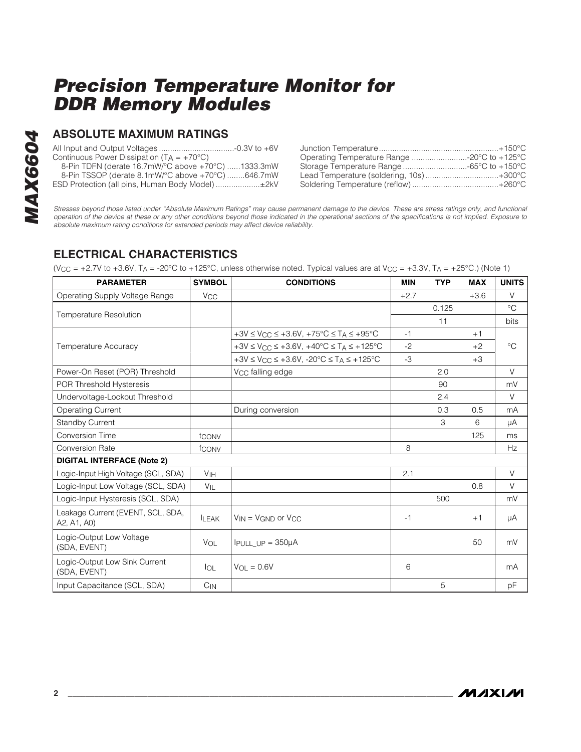#### **ABSOLUTE MAXIMUM RATINGS**

All Input and Output Voltages ..................................-0.3V to +6V Continuous Power Dissipation  $(T_A = +70^{\circ}C)$ 8-Pin TDFN (derate 16.7mW/°C above +70°C) ......1333.3mW

8-Pin TSSOP (derate 8.1mW/°C above +70°C) ........646.7mW ESD Protection (all pins, Human Body Model) ....................±2kV

| Operating Temperature Range -20°C to +125°C |  |
|---------------------------------------------|--|
| Storage Temperature Range 65°C to +150°C    |  |
| Lead Temperature (soldering, 10s)+300°C     |  |
|                                             |  |

Stresses beyond those listed under "Absolute Maximum Ratings" may cause permanent damage to the device. These are stress ratings only, and functional operation of the device at these or any other conditions beyond those indicated in the operational sections of the specifications is not implied. Exposure to absolute maximum rating conditions for extended periods may affect device reliability.

### **ELECTRICAL CHARACTERISTICS**

(V<sub>CC</sub> = +2.7V to +3.6V, T<sub>A</sub> = -20°C to +125°C, unless otherwise noted. Typical values are at V<sub>CC</sub> = +3.3V, T<sub>A</sub> = +25°C.) (Note 1)

| <b>PARAMETER</b>                                 | <b>SYMBOL</b>   | <b>CONDITIONS</b>                                                        | <b>MIN</b> | <b>TYP</b> | <b>MAX</b> | <b>UNITS</b> |
|--------------------------------------------------|-----------------|--------------------------------------------------------------------------|------------|------------|------------|--------------|
| Operating Supply Voltage Range                   | $V_{CC}$        |                                                                          | $+2.7$     |            | $+3.6$     | V            |
|                                                  |                 |                                                                          |            | 0.125      |            | $^{\circ}C$  |
| <b>Temperature Resolution</b>                    |                 |                                                                          |            | 11         |            | <b>bits</b>  |
|                                                  |                 | $+3V \leq V_{CC} \leq +3.6V$ , $+75^{\circ}C \leq T_A \leq +95^{\circ}C$ | $-1$       |            | $+1$       |              |
| <b>Temperature Accuracy</b>                      |                 | $+3V \le V_{CC} \le +3.6V$ , $+40^{\circ}C \le T_A \le +125^{\circ}C$    | $-2$       |            | $+2$       | $^{\circ}C$  |
|                                                  |                 | $+3V \le V_{CC} \le +3.6V$ , $-20^{\circ}C \le T_A \le +125^{\circ}C$    | $-3$       |            | $+3$       |              |
| Power-On Reset (POR) Threshold                   |                 | V <sub>CC</sub> falling edge                                             |            | 2.0        |            | V            |
| POR Threshold Hysteresis                         |                 |                                                                          |            | 90         |            | mV           |
| Undervoltage-Lockout Threshold                   |                 |                                                                          |            | 2.4        |            | V            |
| <b>Operating Current</b>                         |                 | During conversion                                                        |            | 0.3        | 0.5        | mA           |
| <b>Standby Current</b>                           |                 |                                                                          |            | 3          | 6          | μA           |
| <b>Conversion Time</b>                           | tconv           |                                                                          |            |            | 125        | ms           |
| <b>Conversion Rate</b>                           | fconv           |                                                                          | 8          |            |            | Hz           |
| <b>DIGITAL INTERFACE (Note 2)</b>                |                 |                                                                          |            |            |            |              |
| Logic-Input High Voltage (SCL, SDA)              | V <sub>IH</sub> |                                                                          | 2.1        |            |            | $\vee$       |
| Logic-Input Low Voltage (SCL, SDA)               | $V_{\parallel}$ |                                                                          |            |            | 0.8        | V            |
| Logic-Input Hysteresis (SCL, SDA)                |                 |                                                                          |            | 500        |            | mV           |
| Leakage Current (EVENT, SCL, SDA,<br>A2, A1, A0) | <b>ILEAK</b>    | $V_{IN} = V_{GND}$ or $V_{CC}$                                           | $-1$       |            | $+1$       | μA           |
| Logic-Output Low Voltage<br>(SDA, EVENT)         | VOL             | $I$ PULL UP = $350\mu$ A                                                 |            |            | 50         | mV           |
| Logic-Output Low Sink Current<br>(SDA, EVENT)    | IOL             | $V_{OL} = 0.6V$                                                          | 6          |            |            | mA           |
| Input Capacitance (SCL, SDA)                     | $C_{IN}$        |                                                                          |            | 5          |            | рF           |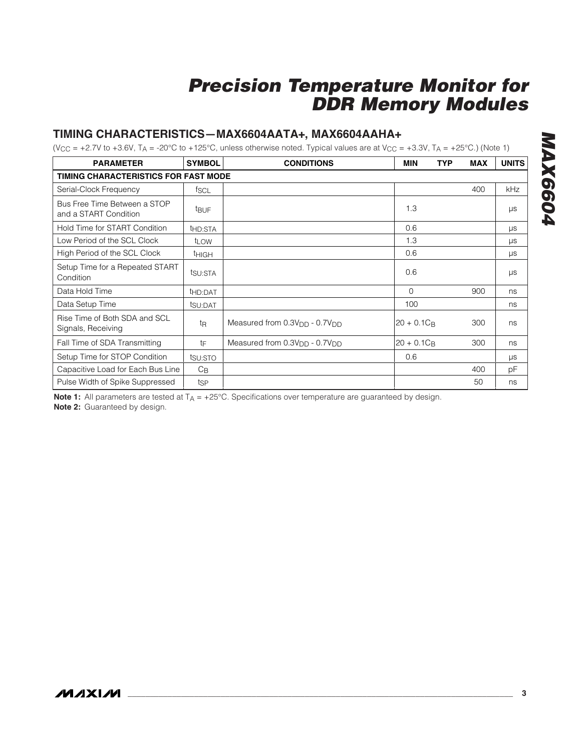#### **TIMING CHARACTERISTICS—MAX6604AATA+, MAX6604AAHA+**

(V<sub>CC</sub> = +2.7V to +3.6V, T<sub>A</sub> = -20°C to +125°C, unless otherwise noted. Typical values are at V<sub>CC</sub> = +3.3V, T<sub>A</sub> = +25°C.) (Note 1)

| <b>PARAMETER</b>                                      | <b>SYMBOL</b>       | <b>CONDITIONS</b>                                     | <b>MIN</b><br>TYP | <b>MAX</b> | <b>UNITS</b> |
|-------------------------------------------------------|---------------------|-------------------------------------------------------|-------------------|------------|--------------|
| TIMING CHARACTERISTICS FOR FAST MODE                  |                     |                                                       |                   |            |              |
| Serial-Clock Frequency                                | fscl                |                                                       |                   | 400        | kHz          |
| Bus Free Time Between a STOP<br>and a START Condition | <b>t</b> BUF        |                                                       | 1.3               |            | $\mu s$      |
| Hold Time for START Condition                         | t <sub>HD:STA</sub> |                                                       | 0.6               |            | $\mu s$      |
| Low Period of the SCL Clock                           | t <sub>LOW</sub>    |                                                       | 1.3               |            | $\mu s$      |
| High Period of the SCL Clock                          | <b>t</b> HIGH       |                                                       | 0.6               |            | $\mu$ s      |
| Setup Time for a Repeated START<br>Condition          | tsu:STA             |                                                       | 0.6               |            | μs           |
| Data Hold Time                                        | thd:DAT             |                                                       | 0                 | 900        | ns           |
| Data Setup Time                                       | tsu:DAT             |                                                       | 100               |            | ns           |
| Rise Time of Both SDA and SCL<br>Signals, Receiving   | t <sub>R</sub>      | Measured from $0.3VDD - 0.7VDD$                       | $20 + 0.1C_B$     | 300        | ns           |
| Fall Time of SDA Transmitting                         | tF                  | Measured from 0.3V <sub>DD</sub> - 0.7V <sub>DD</sub> | $20 + 0.1C_B$     | 300        | ns           |
| Setup Time for STOP Condition                         | tsu:STO             |                                                       | 0.6               |            | $\mu s$      |
| Capacitive Load for Each Bus Line                     | $C_{\text{B}}$      |                                                       |                   | 400        | рF           |
| Pulse Width of Spike Suppressed                       | tsp                 |                                                       |                   | 50         | ns           |

**Note 1:** All parameters are tested at T<sub>A</sub> = +25°C. Specifications over temperature are guaranteed by design. **Note 2:** Guaranteed by design.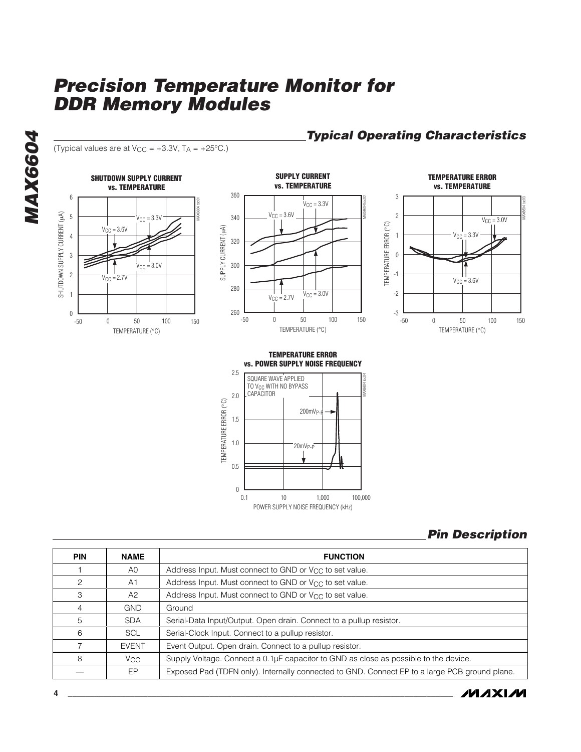(Typical values are at  $V_{CC} = +3.3V$ ,  $T_A = +25^{\circ}C$ .)

**SHUTDOWN SUPPLY CURRENT vs. TEMPERATURE** 6 MAX6604 toc01 SHUTDOWN SUPPLY CURRENT (µA) SHUTDOWN SUPPLY CURRENT (µA) 5  $V_{\text{CC}} = 3.3V$  $V_{CC} = 3.6V$ 4 3 ⋛  $V_{\text{CC}} = 3.0V$ 2  $V_{\text{C}} = 2.7V$ 1  $_{0}$  L<br>-50 0 50 100 -50 0 50 100 150 TEMPERATURE (°C)



**TEMPERATURE ERROR vs. TEMPERATURE** 3 MAX6604 toc03 2  $V_{CC} = 3.0V$ TEMPERATURE ERROR (°C) TEMPERATURE ERROR (°C) 1  $V_{CC} = 3.3V$ 0 -1  $V_{CC} = 3.6V$ -2  $-3$   $-50$ 

**Typical Operating Characteristics**

-50 0 50 100 150 TEMPERATURE (°C) 0 50 100

**TEMPERATURE ERROR vs. POWER SUPPLY NOISE FREQUENCY**





| <b>PIN</b> | <b>NAME</b>     | <b>FUNCTION</b>                                                                               |
|------------|-----------------|-----------------------------------------------------------------------------------------------|
|            | A0              | Address Input. Must connect to GND or V <sub>CC</sub> to set value.                           |
| 2          | A <sub>1</sub>  | Address Input. Must connect to GND or V <sub>CC</sub> to set value.                           |
| 3          | A2              | Address Input. Must connect to GND or V <sub>CC</sub> to set value.                           |
| 4          | <b>GND</b>      | Ground                                                                                        |
| 5          | <b>SDA</b>      | Serial-Data Input/Output. Open drain. Connect to a pullup resistor.                           |
| 6          | <b>SCL</b>      | Serial-Clock Input. Connect to a pullup resistor.                                             |
|            | <b>EVENT</b>    | Event Output. Open drain. Connect to a pullup resistor.                                       |
| 8          | V <sub>CC</sub> | Supply Voltage. Connect a 0.1µF capacitor to GND as close as possible to the device.          |
|            | EP.             | Exposed Pad (TDFN only). Internally connected to GND. Connect EP to a large PCB ground plane. |



**MAX6604** MAX6604

**4 \_\_\_\_\_\_\_\_\_\_\_\_\_\_\_\_\_\_\_\_\_\_\_\_\_\_\_\_\_\_\_\_\_\_\_\_\_\_\_\_\_\_\_\_\_\_\_\_\_\_\_\_\_\_\_\_\_\_\_\_\_\_\_\_\_\_\_\_\_\_\_\_\_\_\_\_\_\_\_\_\_\_\_\_\_\_\_**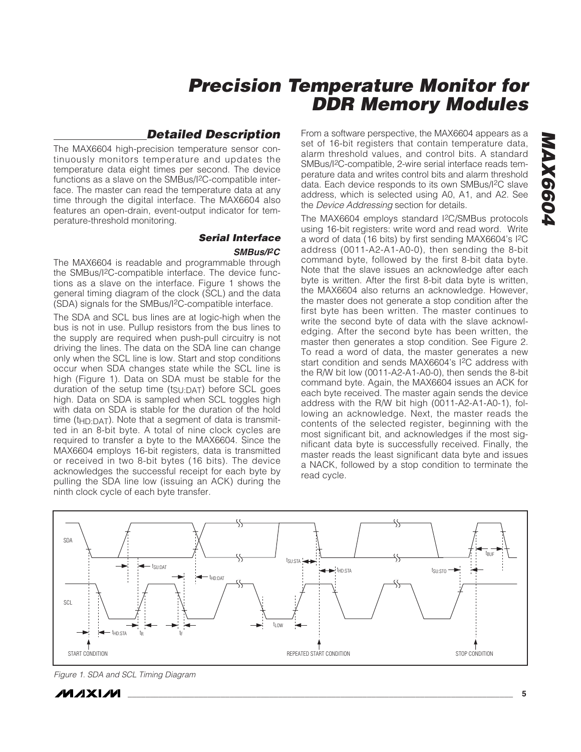#### **Detailed Description**

The MAX6604 high-precision temperature sensor continuously monitors temperature and updates the temperature data eight times per second. The device functions as a slave on the SMBus/I2C-compatible interface. The master can read the temperature data at any time through the digital interface. The MAX6604 also features an open-drain, event-output indicator for temperature-threshold monitoring.

### **Serial Interface**

#### **SMBus/I2C**

The MAX6604 is readable and programmable through the SMBus/I2C-compatible interface. The device functions as a slave on the interface. Figure 1 shows the general timing diagram of the clock (SCL) and the data (SDA) signals for the SMBus/I2C-compatible interface.

The SDA and SCL bus lines are at logic-high when the bus is not in use. Pullup resistors from the bus lines to the supply are required when push-pull circuitry is not driving the lines. The data on the SDA line can change only when the SCL line is low. Start and stop conditions occur when SDA changes state while the SCL line is high (Figure 1). Data on SDA must be stable for the duration of the setup time (tsu:DAT) before SCL goes high. Data on SDA is sampled when SCL toggles high with data on SDA is stable for the duration of the hold time ( $t$ <sub>HD:DAT</sub>). Note that a segment of data is transmitted in an 8-bit byte. A total of nine clock cycles are required to transfer a byte to the MAX6604. Since the MAX6604 employs 16-bit registers, data is transmitted or received in two 8-bit bytes (16 bits). The device acknowledges the successful receipt for each byte by pulling the SDA line low (issuing an ACK) during the ninth clock cycle of each byte transfer.

From a software perspective, the MAX6604 appears as a set of 16-bit registers that contain temperature data, alarm threshold values, and control bits. A standard SMBus/I2C-compatible, 2-wire serial interface reads temperature data and writes control bits and alarm threshold data. Each device responds to its own SMBus/I2C slave address, which is selected using A0, A1, and A2. See the *Device Addressing* section for details.

The MAX6604 employs standard I2C/SMBus protocols using 16-bit registers: write word and read word. Write a word of data (16 bits) by first sending MAX6604's I2C address (0011-A2-A1-A0-0), then sending the 8-bit command byte, followed by the first 8-bit data byte. Note that the slave issues an acknowledge after each byte is written. After the first 8-bit data byte is written, the MAX6604 also returns an acknowledge. However, the master does not generate a stop condition after the first byte has been written. The master continues to write the second byte of data with the slave acknowledging. After the second byte has been written, the master then generates a stop condition. See Figure 2. To read a word of data, the master generates a new start condition and sends MAX6604's I2C address with the R/W bit low (0011-A2-A1-A0-0), then sends the 8-bit command byte. Again, the MAX6604 issues an ACK for each byte received. The master again sends the device address with the R/W bit high (0011-A2-A1-A0-1), following an acknowledge. Next, the master reads the contents of the selected register, beginning with the most significant bit, and acknowledges if the most significant data byte is successfully received. Finally, the master reads the least significant data byte and issues a NACK, followed by a stop condition to terminate the read cycle.



Figure 1. SDA and SCL Timing Diagram

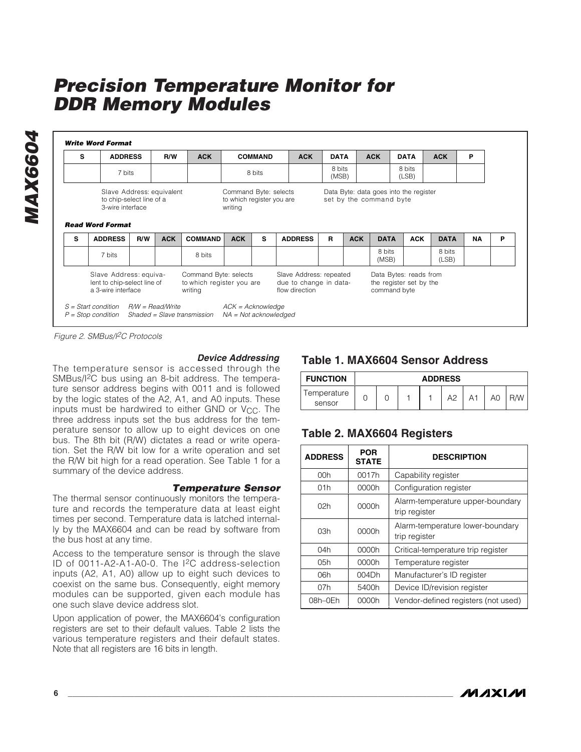**Write Word Format Read Word Format** Slave Address: equivalent to chip-select line of a 3-wire interface Command Byte: selects to which register you are writing Data Byte: data goes into the register set by the command byte 8 bits (MSB) 8 bits (MSB) 8 bits (LSB) Slave Address: equivalent to chip-select line of a 3-wire interface Command Byte: selects to which register you are writing Slave Address: repeated due to change in dataflow direction Data Bytes: reads from the register set by the command byte S = Start condition R/W = Read/Write  $P =$  Stop condition Shaded = Slave transmission NA = Not acknowledged  $ACK = Acknowledge$ **ACK** 7 bits ADDRESS **R/W** ACK COMMAND ACK DATA 8 bits S | ADDRESS | R/W | ACK | COMMAND | ACK | DATA | ACK | DATA | ACK | P 8 bits  $(1$  SB) R/W | ACK | COMMAND | ACK | DATA | ACK | DATA | ACK **ACK** 7 bits <code>ADDRESS</code>  $\mid$  <code>R/W</code>  $\mid$  <code>ACK</code>  $\mid$  <code>COMMAND</code>  $\mid$  ACK  $\mid$  <code>S</code>  $\mid$  <code>ADDRESS</code>  $\mid$  <code>R</code>  $\mid$  <code>ACK</code>  $\mid$  <code>DATA</code>  $\mid$  <code>ACK</code>  $\mid$  <code>DATA</code> 8 bits S | ADDRESS | R/W | ACK | COMMAND | ACK | S | ADDRESS | R | ACK | DATA | ACK | DATA | NA | P

Figure 2. SMBus/I<sup>2</sup>C Protocols

#### **Device Addressing**

The temperature sensor is accessed through the SMBus/I2C bus using an 8-bit address. The temperature sensor address begins with 0011 and is followed by the logic states of the A2, A1, and A0 inputs. These inputs must be hardwired to either GND or  $V_{CC}$ . The three address inputs set the bus address for the temperature sensor to allow up to eight devices on one bus. The 8th bit (R/W) dictates a read or write operation. Set the R/W bit low for a write operation and set the R/W bit high for a read operation. See Table 1 for a summary of the device address.

#### **Temperature Sensor**

The thermal sensor continuously monitors the temperature and records the temperature data at least eight times per second. Temperature data is latched internally by the MAX6604 and can be read by software from the bus host at any time.

Access to the temperature sensor is through the slave ID of 0011-A2-A1-A0-0. The I2C address-selection inputs (A2, A1, A0) allow up to eight such devices to coexist on the same bus. Consequently, eight memory modules can be supported, given each module has one such slave device address slot.

Upon application of power, the MAX6604's configuration registers are set to their default values. Table 2 lists the various temperature registers and their default states. Note that all registers are 16 bits in length.

#### **Table 1. MAX6604 Sensor Address**

| <b>FUNCTION</b>       | <b>ADDRESS</b> |  |  |  |  |  |    |  |  |
|-----------------------|----------------|--|--|--|--|--|----|--|--|
| Temperature<br>sensor |                |  |  |  |  |  | A0 |  |  |

#### **Table 2. MAX6604 Registers**

| <b>ADDRESS</b> | <b>POR</b><br><b>STATE</b> | <b>DESCRIPTION</b>                                |
|----------------|----------------------------|---------------------------------------------------|
| 00h            | 0017h                      | Capability register                               |
| 01h            | 0000h                      | Configuration register                            |
| 02h            | 0000h                      | Alarm-temperature upper-boundary<br>trip register |
| 03h            | 0000h                      | Alarm-temperature lower-boundary<br>trip register |
| 04h            | 0000h                      | Critical-temperature trip register                |
| 05h            | 0000h                      | Temperature register                              |
| 06h            | 004Dh                      | Manufacturer's ID register                        |
| 07h            | 5400h                      | Device ID/revision register                       |
| 08h–0Eh        | 0000h                      | Vendor-defined registers (not used)               |

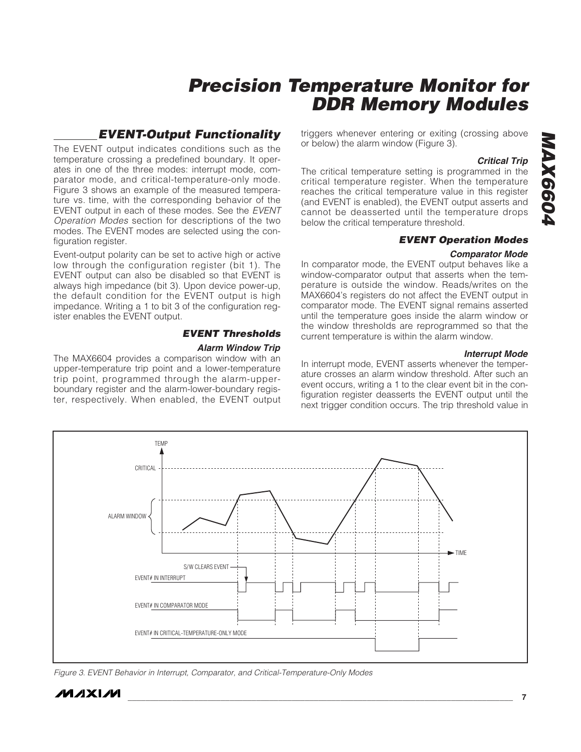#### **EVENT-Output Functionality**

The EVENT output indicates conditions such as the temperature crossing a predefined boundary. It operates in one of the three modes: interrupt mode, comparator mode, and critical-temperature-only mode. Figure 3 shows an example of the measured temperature vs. time, with the corresponding behavior of the EVENT output in each of these modes. See the EVENT Operation Modes section for descriptions of the two modes. The EVENT modes are selected using the configuration register.

Event-output polarity can be set to active high or active low through the configuration register (bit 1). The EVENT output can also be disabled so that EVENT is always high impedance (bit 3). Upon device power-up, the default condition for the EVENT output is high impedance. Writing a 1 to bit 3 of the configuration register enables the EVENT output.

### **EVENT Thresholds**

#### **Alarm Window Trip**

The MAX6604 provides a comparison window with an upper-temperature trip point and a lower-temperature trip point, programmed through the alarm-upperboundary register and the alarm-lower-boundary register, respectively. When enabled, the EVENT output triggers whenever entering or exiting (crossing above or below) the alarm window (Figure 3).

#### **Critical Trip**

The critical temperature setting is programmed in the critical temperature register. When the temperature reaches the critical temperature value in this register (and EVENT is enabled), the EVENT output asserts and cannot be deasserted until the temperature drops below the critical temperature threshold.

#### **EVENT Operation Modes**

#### **Comparator Mode**

In comparator mode, the EVENT output behaves like a window-comparator output that asserts when the temperature is outside the window. Reads/writes on the MAX6604's registers do not affect the EVENT output in comparator mode. The EVENT signal remains asserted until the temperature goes inside the alarm window or the window thresholds are reprogrammed so that the current temperature is within the alarm window.

#### **Interrupt Mode**

In interrupt mode, EVENT asserts whenever the temperature crosses an alarm window threshold. After such an event occurs, writing a 1 to the clear event bit in the configuration register deasserts the EVENT output until the next trigger condition occurs. The trip threshold value in



Figure 3. EVENT Behavior in Interrupt, Comparator, and Critical-Temperature-Only Modes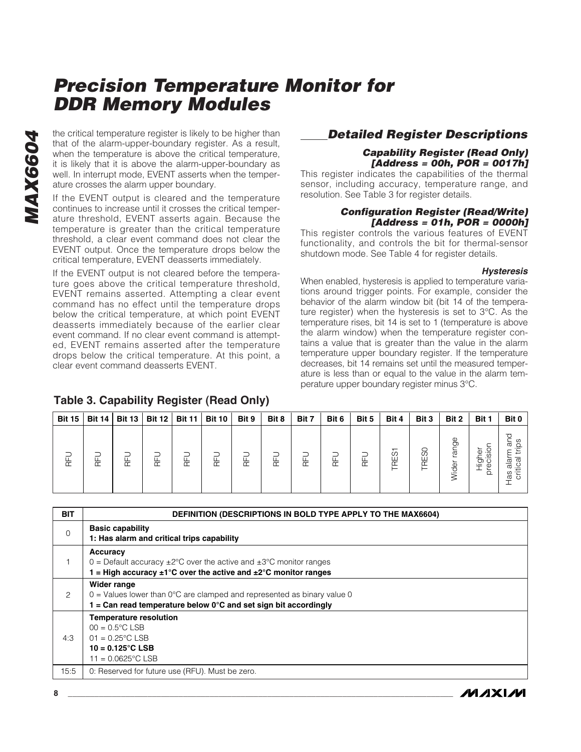the critical temperature register is likely to be higher than<br>that of the alarm-upper-boundary register. As a result,<br>when the temperature is above the critical temperature,<br>it is likely that it is above the alarm-upper-bo that of the alarm-upper-boundary register. As a result, when the temperature is above the critical temperature, it is likely that it is above the alarm-upper-boundary as well. In interrupt mode, EVENT asserts when the temperature crosses the alarm upper boundary.

If the EVENT output is cleared and the temperature continues to increase until it crosses the critical temperature threshold, EVENT asserts again. Because the temperature is greater than the critical temperature threshold, a clear event command does not clear the EVENT output. Once the temperature drops below the critical temperature, EVENT deasserts immediately.

If the EVENT output is not cleared before the temperature goes above the critical temperature threshold, EVENT remains asserted. Attempting a clear event command has no effect until the temperature drops below the critical temperature, at which point EVENT deasserts immediately because of the earlier clear event command. If no clear event command is attempted, EVENT remains asserted after the temperature drops below the critical temperature. At this point, a clear event command deasserts EVENT.

#### **Table 3. Capability Register (Read Only)**

### **Detailed Register Descriptions**

#### **Capability Register (Read Only) [Address = 00h, POR = 0017h]**

This register indicates the capabilities of the thermal sensor, including accuracy, temperature range, and resolution. See Table 3 for register details.

#### **Configuration Register (Read/Write) [Address = 01h, POR = 0000h]**

This register controls the various features of EVENT functionality, and controls the bit for thermal-sensor shutdown mode. See Table 4 for register details.

#### **Hysteresis**

When enabled, hysteresis is applied to temperature variations around trigger points. For example, consider the behavior of the alarm window bit (bit 14 of the temperature register) when the hysteresis is set to 3°C. As the temperature rises, bit 14 is set to 1 (temperature is above the alarm window) when the temperature register contains a value that is greater than the value in the alarm temperature upper boundary register. If the temperature decreases, bit 14 remains set until the measured temperature is less than or equal to the value in the alarm temperature upper boundary register minus 3°C.

| <b>Bit 15</b> | <b>Bit 14</b> | <b>Bit 13</b>             | <b>Bit 12</b> | <b>Bit 11</b>             | <b>Bit 10</b> | Bit 9 | Bit 8 | Bit 7                     | Bit 6 | Bit 5  | Bit 4                                                               | Bit 3                 | Bit 2           | Bit 1                                                           | Bit 0                                    |
|---------------|---------------|---------------------------|---------------|---------------------------|---------------|-------|-------|---------------------------|-------|--------|---------------------------------------------------------------------|-----------------------|-----------------|-----------------------------------------------------------------|------------------------------------------|
| 둔             | ~             | $\overline{\mathfrak{m}}$ | 둔             | $\widetilde{\phantom{a}}$ | 뉸             | 둔     | 空     | $\overline{\mathfrak{m}}$ | 뚠     | $\sim$ | $\overline{\phantom{0}}$<br>Ò.<br>Ш<br>$\overline{\mathbb{C}}$<br>⊢ | RE <sub>SO</sub><br>ᆮ | 9e<br>ಹ<br>ider | isia<br>ত<br>∸<br>$\frac{1}{2}$ $\frac{6}{9}$<br>$\overline{O}$ | S<br>∸<br>ത<br>alar<br>ω<br>æ<br>$\circ$ |

| <b>BIT</b> | <b>DEFINITION (DESCRIPTIONS IN BOLD TYPE APPLY TO THE MAX6604)</b>                                                                                                                                  |
|------------|-----------------------------------------------------------------------------------------------------------------------------------------------------------------------------------------------------|
| $\Omega$   | <b>Basic capability</b><br>1: Has alarm and critical trips capability                                                                                                                               |
|            | Accuracy<br>0 = Default accuracy $\pm 2^{\circ}$ C over the active and $\pm 3^{\circ}$ C monitor ranges<br>1 = High accuracy $\pm 1^{\circ}$ C over the active and $\pm 2^{\circ}$ C monitor ranges |
| 2          | Wider range<br>$0 =$ Values lower than $0^{\circ}$ C are clamped and represented as binary value 0<br>1 = Can read temperature below $0^{\circ}$ C and set sign bit accordingly                     |
| 4:3        | <b>Temperature resolution</b><br>$00 = 0.5^{\circ}$ C LSB<br>$01 = 0.25^{\circ}$ C LSB<br>$10 = 0.125^{\circ}$ C LSB<br>$11 = 0.0625^{\circ}$ C LSB                                                 |
| 15:5       | 0: Reserved for future use (RFU). Must be zero.                                                                                                                                                     |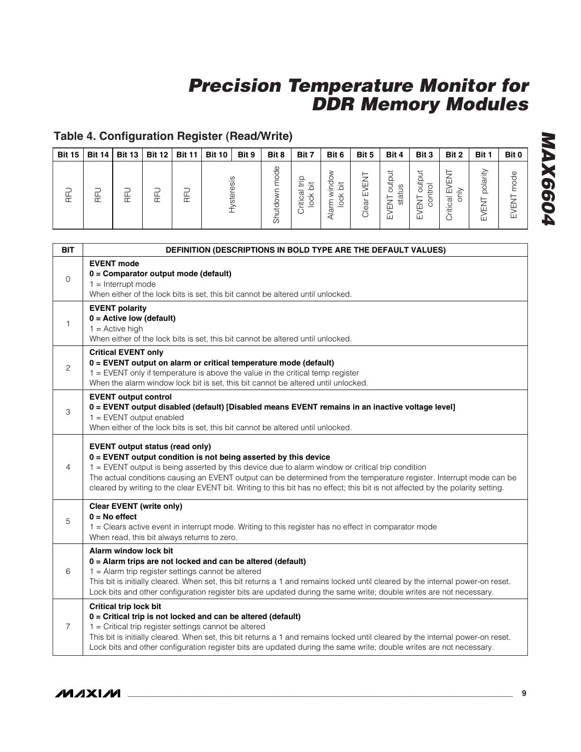### **Table 4. Configuration Register (Read/Write)**

| <b>Bit 15</b> | <b>Bit 14</b> | <b>Bit 13</b> | <b>Bit 12</b> | <b>Bit 11</b> | <b>Bit 10</b> | Bit 9      | Bit 8              | Bit 7                          | Bit 6                                                                                                              | Bit 5                                    | Bit 4                                    | Bit 3                                   | Bit 2                                           | Bit 1                   | Bit 0       |
|---------------|---------------|---------------|---------------|---------------|---------------|------------|--------------------|--------------------------------|--------------------------------------------------------------------------------------------------------------------|------------------------------------------|------------------------------------------|-----------------------------------------|-------------------------------------------------|-------------------------|-------------|
| 臣             | 눈             | 눈             | 뚠             | 눈             |               | lysteresis | pode<br>ppir<br>ਨੋ | Ω<br>Έ<br>运<br>ritical<br>lock | 8<br>$\pm$<br>$\circ$<br>┶<br>$\mathbf{\times}$<br>$\overline{\phantom{0}}$<br>◡<br>≻<br>-<br>$\frac{a}{\sqrt{2}}$ | ⇁<br>屲<br>ш<br>ear<br>$\overline{\circ}$ | ≒<br>outpi<br>status<br>-<br>Z<br>巴<br>ш | outp<br>ᅙ<br>늗<br>≍<br>5<br>∠<br>ш<br>ш | $\geq$<br>ш<br>ੋ<br>$\overline{\sigma}$<br>itic | polarity<br>5<br>ш<br>ш | Φ<br>ш<br>ш |

| <b>BIT</b>     | <b>DEFINITION (DESCRIPTIONS IN BOLD TYPE ARE THE DEFAULT VALUES)</b>                                                                                                                                                                                                                                                                                                                                                                                                       |
|----------------|----------------------------------------------------------------------------------------------------------------------------------------------------------------------------------------------------------------------------------------------------------------------------------------------------------------------------------------------------------------------------------------------------------------------------------------------------------------------------|
| $\mathbf 0$    | <b>EVENT mode</b><br>0 = Comparator output mode (default)<br>$1 =$ Interrupt mode<br>When either of the lock bits is set, this bit cannot be altered until unlocked.                                                                                                                                                                                                                                                                                                       |
| 1              | <b>EVENT polarity</b><br>$0 =$ Active low (default)<br>$1 =$ Active high<br>When either of the lock bits is set, this bit cannot be altered until unlocked.                                                                                                                                                                                                                                                                                                                |
| $\mathbf{2}$   | <b>Critical EVENT only</b><br>0 = EVENT output on alarm or critical temperature mode (default)<br>1 = EVENT only if temperature is above the value in the critical temp register<br>When the alarm window lock bit is set, this bit cannot be altered until unlocked.                                                                                                                                                                                                      |
| 3              | <b>EVENT output control</b><br>0 = EVENT output disabled (default) [Disabled means EVENT remains in an inactive voltage level]<br>$1 =$ EVENT output enabled<br>When either of the lock bits is set, this bit cannot be altered until unlocked.                                                                                                                                                                                                                            |
| 4              | <b>EVENT output status (read only)</b><br>$0 =$ EVENT output condition is not being asserted by this device<br>1 = EVENT output is being asserted by this device due to alarm window or critical trip condition<br>The actual conditions causing an EVENT output can be determined from the temperature register. Interrupt mode can be<br>cleared by writing to the clear EVENT bit. Writing to this bit has no effect; this bit is not affected by the polarity setting. |
| 5              | <b>Clear EVENT (write only)</b><br>$0 = No$ effect<br>1 = Clears active event in interrupt mode. Writing to this register has no effect in comparator mode<br>When read, this bit always returns to zero.                                                                                                                                                                                                                                                                  |
| 6              | Alarm window lock bit<br>0 = Alarm trips are not locked and can be altered (default)<br>1 = Alarm trip register settings cannot be altered<br>This bit is initially cleared. When set, this bit returns a 1 and remains locked until cleared by the internal power-on reset.<br>Lock bits and other configuration register bits are updated during the same write; double writes are not necessary.                                                                        |
| $\overline{7}$ | <b>Critical trip lock bit</b><br>0 = Critical trip is not locked and can be altered (default)<br>1 = Critical trip register settings cannot be altered<br>This bit is initially cleared. When set, this bit returns a 1 and remains locked until cleared by the internal power-on reset.<br>Lock bits and other configuration register bits are updated during the same write; double writes are not necessary.                                                            |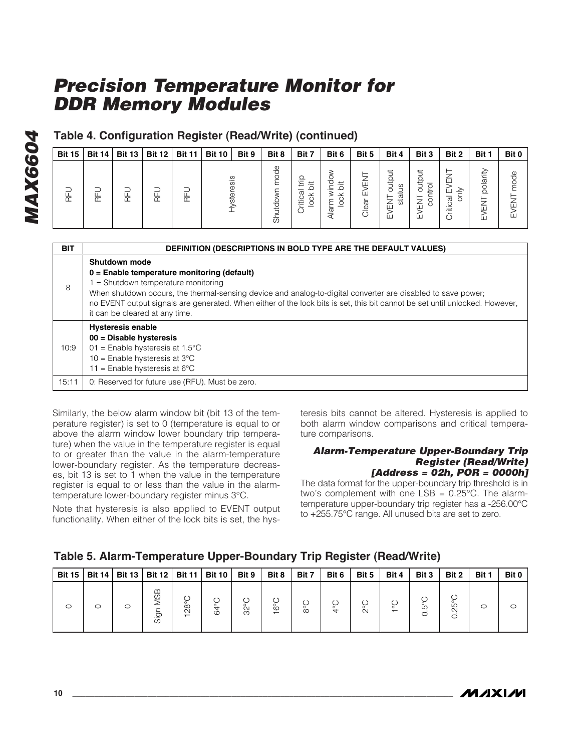### **Table 4. Configuration Register (Read/Write) (continued)**

| <b>Bit 15</b> | <b>Bit 14</b> | <b>Bit 13</b> | <b>Bit 12</b> | <b>Bit 11</b> | <b>Bit 10</b> | Bit 9 | Bit 8         | Bit 7                             | Bit 6 | Bit 5        | Bit 4                      | Bit 3                                    | Bit 2                                                        | Bit 1                                         | Bit 0          |
|---------------|---------------|---------------|---------------|---------------|---------------|-------|---------------|-----------------------------------|-------|--------------|----------------------------|------------------------------------------|--------------------------------------------------------------|-----------------------------------------------|----------------|
| 눈             | ᄔ<br>Œ        | ட<br>Œ        | 匠             | Œ             | steresis      |       | $\omega$<br>Ō | ._<br>≔<br>≐<br>ದ<br>$\circ$<br>汩 | ᡕᡦ    | ш<br>ш<br>ea | đ<br>status<br>ಕ<br>Ζ<br>ш | but<br>$\circ$<br>Ε.<br>ਨ<br>⇁<br>屲<br>ш | 冚<br>ш<br>∠<br>$\overline{\sigma}$<br>O<br>ritica<br>$\circ$ | $\frac{a}{a}$<br>$\Omega$<br>⊢<br>⇁<br>冚<br>ш | pode<br>ш<br>ш |

| <b>BIT</b> | <b>DEFINITION (DESCRIPTIONS IN BOLD TYPE ARE THE DEFAULT VALUES)</b>                                                                                                                                                                                                                                                                                                                   |
|------------|----------------------------------------------------------------------------------------------------------------------------------------------------------------------------------------------------------------------------------------------------------------------------------------------------------------------------------------------------------------------------------------|
| 8          | Shutdown mode<br>$0 =$ Enable temperature monitoring (default)<br>1 = Shutdown temperature monitoring<br>When shutdown occurs, the thermal-sensing device and analog-to-digital converter are disabled to save power;<br>no EVENT output signals are generated. When either of the lock bits is set, this bit cannot be set until unlocked. However,<br>it can be cleared at any time. |
| 10:9       | <b>Hysteresis enable</b><br>$00 = Disable$ hysteresis<br>01 = Enable hysteresis at $1.5^{\circ}$ C<br>$10 =$ Enable hysteresis at 3°C<br>11 = Enable hysteresis at $6^{\circ}$ C                                                                                                                                                                                                       |
| 15:11      | 0: Reserved for future use (RFU). Must be zero.                                                                                                                                                                                                                                                                                                                                        |

Similarly, the below alarm window bit (bit 13 of the temperature register) is set to 0 (temperature is equal to or above the alarm window lower boundary trip temperature) when the value in the temperature register is equal to or greater than the value in the alarm-temperature lower-boundary register. As the temperature decreases, bit 13 is set to 1 when the value in the temperature register is equal to or less than the value in the alarmtemperature lower-boundary register minus 3°C.

Note that hysteresis is also applied to EVENT output functionality. When either of the lock bits is set, the hysteresis bits cannot be altered. Hysteresis is applied to both alarm window comparisons and critical temperature comparisons.

#### **Alarm-Temperature Upper-Boundary Trip Register (Read/Write) [Address = 02h, POR = 0000h]**

The data format for the upper-boundary trip threshold is in two's complement with one  $LSB = 0.25^{\circ}C$ . The alarmtemperature upper-boundary trip register has a -256.00°C to +255.75°C range. All unused bits are set to zero.

### **Table 5. Alarm-Temperature Upper-Boundary Trip Register (Read/Write)**

| <b>Bit 15</b> | <b>Bit 14</b> |   | Bit 13   Bit 12   Bit 11 |                                   | <b>Bit 10</b>     | Bit 9                  | Bit 8 | Bit 7                    | Bit 6    | Bit 5  | Bit 4   | Bit 3          | Bit 2       | Bit 1 | Bit 0   |
|---------------|---------------|---|--------------------------|-----------------------------------|-------------------|------------------------|-------|--------------------------|----------|--------|---------|----------------|-------------|-------|---------|
|               |               | O | 1SB<br>∠<br>┶<br>Sig     | $\&8$<br>$\overline{\phantom{0}}$ | $\circ$<br>4<br>Ö | O<br>$\circ$<br>Ń<br>ო | ČO    | O<br>$\circ$<br>$\infty$ | ပ္စ<br>↽ | $\sim$ | $\circ$ | ပို<br>$\circ$ | Б<br>Ñ<br>◯ | C     | $\circ$ |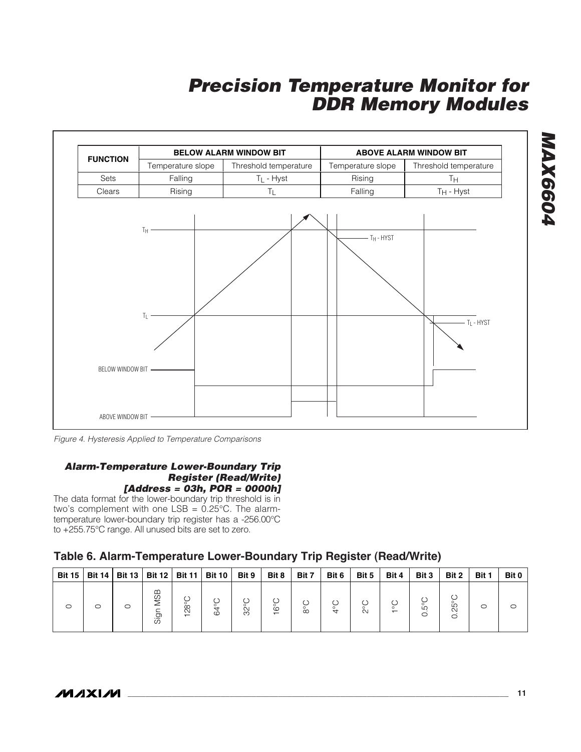

Figure 4. Hysteresis Applied to Temperature Comparisons

#### **Alarm-Temperature Lower-Boundary Trip Register (Read/Write) [Address = 03h, POR = 0000h]**

The data format for the lower-boundary trip threshold is in two's complement with one LSB = 0.25°C. The alarmtemperature lower-boundary trip register has a -256.00°C to +255.75°C range. All unused bits are set to zero.

### **Table 6. Alarm-Temperature Lower-Boundary Trip Register (Read/Write)**

| <b>Bit 15</b> |   |         | Bit 14   Bit 13   Bit 12   Bit 11   Bit 10 |                            |                           | Bit 9              | Bit 8        | Bit 7    | Bit 6        | Bit 5  | Bit 4 | Bit 3  | Bit 2                 | Bit 1 | Bit 0 |
|---------------|---|---------|--------------------------------------------|----------------------------|---------------------------|--------------------|--------------|----------|--------------|--------|-------|--------|-----------------------|-------|-------|
| ○             | O | $\circ$ | <b>MSB</b><br>Sig                          | $\infty$<br>$\tilde{\sim}$ | $\overline{4}$<br>$\circ$ | C<br>$\circ$<br>ŠŠ | $\circ$<br>- | $\infty$ | $\circ$<br>↤ | $\sim$ |       | 5<br>O | 5<br>$\tilde{\infty}$ | O     | O     |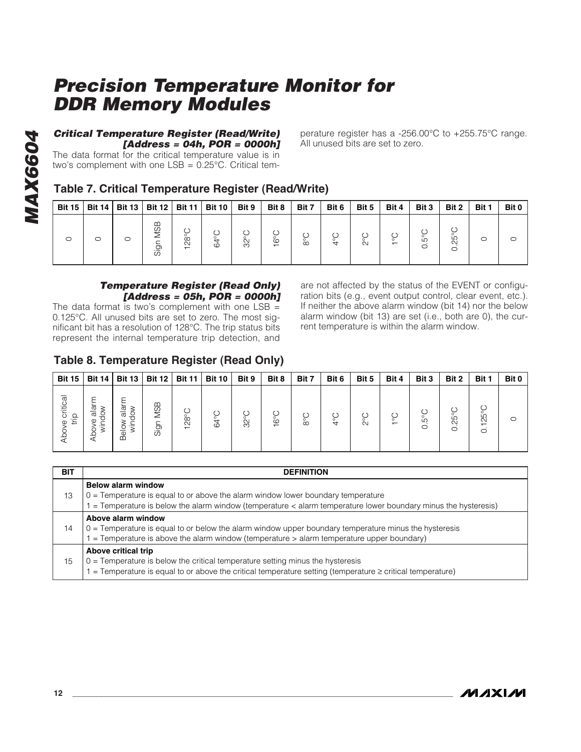# **[Address = 04h, POR = 0000h]**

#### **Table 7. Critical Temperature Register (Read/Write)**

| <b>Critical Temperature Register (Read/Write)</b><br>[Address = 04h, POR = 0000h]<br>The data format for the critical temperature value is in<br>two's complement with one $LSB = 0.25^{\circ}C$ . Critical tem-<br>Table 7. Critical Temperature Register (Read/Write) |               |               |               |               |               |                |                |               | perature register has a -256.00°C to +255.75°C range.<br>All unused bits are set to zero. |       |               |                 |                  |         |         |
|-------------------------------------------------------------------------------------------------------------------------------------------------------------------------------------------------------------------------------------------------------------------------|---------------|---------------|---------------|---------------|---------------|----------------|----------------|---------------|-------------------------------------------------------------------------------------------|-------|---------------|-----------------|------------------|---------|---------|
| <b>Bit 15</b>                                                                                                                                                                                                                                                           | <b>Bit 14</b> | <b>Bit 13</b> | <b>Bit 12</b> | <b>Bit 11</b> | <b>Bit 10</b> | Bit 9          | Bit 8          | Bit 7         | Bit 6                                                                                     | Bit 5 | Bit 4         | Bit 3           | Bit 2            | Bit 1   | Bit 0   |
| $\circ$                                                                                                                                                                                                                                                                 | $\circ$       |               | Sign MSB      | 128°C         | 64°C          | $32^{\circ}$ C | $16^{\circ}$ C | $\frac{6}{3}$ | $rac{C}{4}$                                                                               | 2°C   | $\frac{1}{6}$ | $0.5^{\circ}$ C | $0.25^{\circ}$ C | $\circ$ | $\circ$ |

#### **Temperature Register (Read Only) [Address = 05h, POR = 0000h]**

The data format is two's complement with one  $LSB =$ 0.125°C. All unused bits are set to zero. The most significant bit has a resolution of 128°C. The trip status bits represent the internal temperature trip detection, and are not affected by the status of the EVENT or configuration bits (e.g., event output control, clear event, etc.). If neither the above alarm window (bit 14) nor the below alarm window (bit 13) are set (i.e., both are 0), the current temperature is within the alarm window.

#### **Table 8. Temperature Register (Read Only)**

| <b>Bit 15  </b>    |                          | Bit 14   Bit 13                     |                                          | Bit 12   Bit 11 | <b>Bit 10</b>           | Bit 9 | Bit 8                          | Bit 7         | Bit 6    | Bit 5  | Bit 4   | Bit 3          | Bit 2   | Bit 1                           | Bit 0 |
|--------------------|--------------------------|-------------------------------------|------------------------------------------|-----------------|-------------------------|-------|--------------------------------|---------------|----------|--------|---------|----------------|---------|---------------------------------|-------|
| e critical<br>trip | alarm<br>pdo<br>ହ<br>Abo | $\overline{\omega}$<br>੍ਹ ਉ<br>Belo | ≃<br><b>SI</b><br>$\overline{r}$<br>Sigr | $\infty$        | Ö<br>$\circ$<br>$\circ$ | 32°C  | Č٥<br>$\overline{\phantom{0}}$ | $\circ$<br>ŌΟ | $^{4}$ C | $\sim$ | $\circ$ | 5°C<br>$\circ$ | 25<br>C | 25<br>$\overline{ }$<br>$\circ$ |       |

| <b>BIT</b> | <b>DEFINITION</b>                                                                                                                                                                                                                |
|------------|----------------------------------------------------------------------------------------------------------------------------------------------------------------------------------------------------------------------------------|
| 13         | <b>Below alarm window</b><br>$0 =$ Temperature is equal to or above the alarm window lower boundary temperature<br>= Temperature is below the alarm window (temperature < alarm temperature lower boundary minus the hysteresis) |
| 14         | Above alarm window<br>$0 =$ Temperature is equal to or below the alarm window upper boundary temperature minus the hysteresis<br>$=$ Temperature is above the alarm window (temperature $>$ alarm temperature upper boundary)    |
| 15         | Above critical trip<br>$0 =$ Temperature is below the critical temperature setting minus the hysteresis<br>$=$ Temperature is equal to or above the critical temperature setting (temperature $\geq$ critical temperature)       |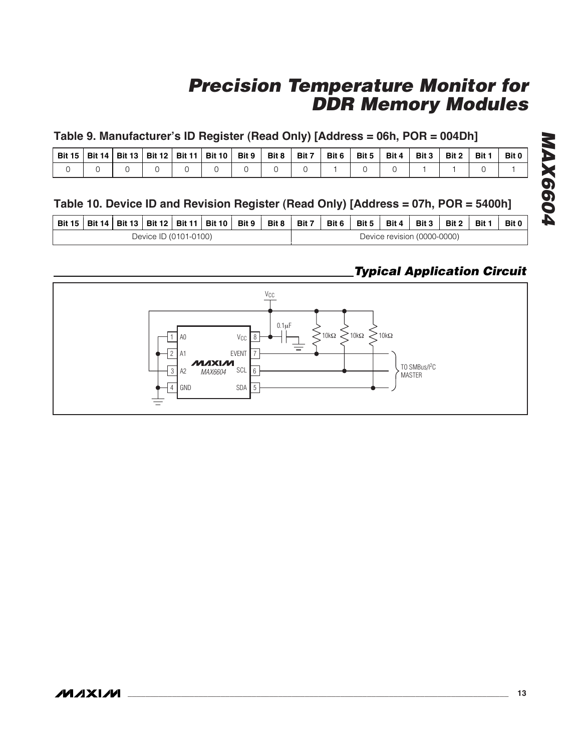#### **Table 9. Manufacturer's ID Register (Read Only) [Address = 06h, POR = 004Dh]**

| . Bit 15 | <b>Bit 14   Bit 13  </b> |  | Bit 12   Bit 11   Bit 10 | Bit 9 | Bit 8 | Bit 7 | Bit 6 | Bit 5 | Bit 4 | Bit 3 | Bit 2 | Bit 1 | Bit 0 |
|----------|--------------------------|--|--------------------------|-------|-------|-------|-------|-------|-------|-------|-------|-------|-------|
|          |                          |  |                          |       |       |       |       |       |       |       |       |       |       |

#### **Table 10. Device ID and Revision Register (Read Only) [Address = 07h, POR = 5400h]**

|  |  |                       | Bit 15   Bit 14   Bit 13   Bit 12   Bit 11   Bit 10   Bit 9 | Bit 8 l | Bit 7 | Bit 6 | Bit 5 | Bit 4                       | Bit 3 | Bit 2 | Bit 1 | <b>Bit 0</b> |
|--|--|-----------------------|-------------------------------------------------------------|---------|-------|-------|-------|-----------------------------|-------|-------|-------|--------------|
|  |  | Device ID (0101-0100) |                                                             |         |       |       |       | Device revision (0000-0000) |       |       |       |              |

### **Typical Application Circuit**

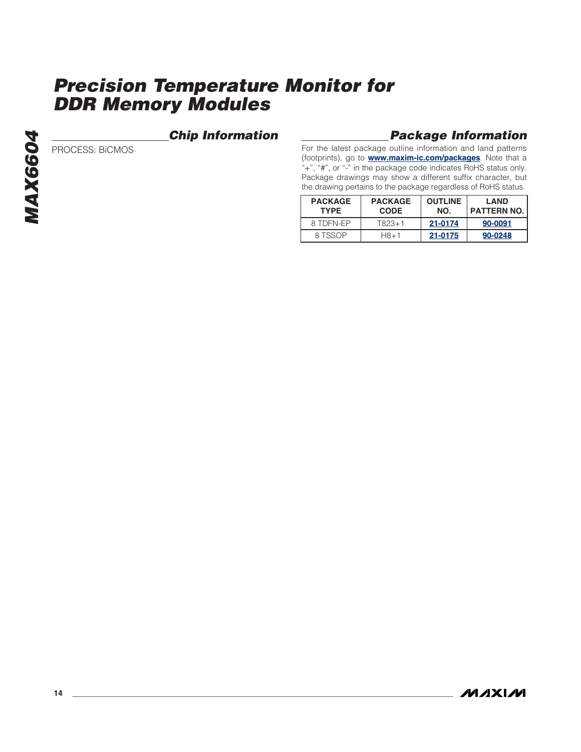#### **Chip Information**

PROCESS: BiCMOS

#### **Package Information**

For the latest package outline information and land patterns (footprints), go to **www.maxim-ic.com/packages**. Note that a "+", "#", or "-" in the package code indicates RoHS status only. Package drawings may show a different suffix character, but the drawing pertains to the package regardless of RoHS status.

| <b>PACKAGE</b><br><b>TYPF</b> | <b>PACKAGE</b><br><b>CODE</b> | <b>OUTLINE</b><br>NO. | <b>LAND</b><br>I PATTERN NO. |
|-------------------------------|-------------------------------|-----------------------|------------------------------|
| 8 TDEN-FP                     | T823+1                        | 21-0174               | 90-0091                      |
| 8 TSSOP                       | $H8 + 1$                      | 21-0175               | 90-0248                      |